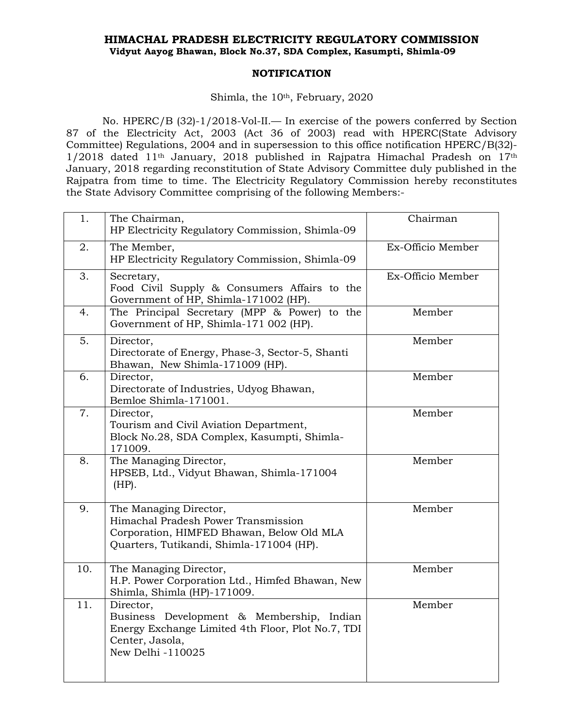## **HIMACHAL PRADESH ELECTRICITY REGULATORY COMMISSION Vidyut Aayog Bhawan, Block No.37, SDA Complex, Kasumpti, Shimla-09**

## **NOTIFICATION**

## Shimla, the 10<sup>th</sup>, February, 2020

No. HPERC/B (32)-1/2018-Vol-II.— In exercise of the powers conferred by Section 87 of the Electricity Act, 2003 (Act 36 of 2003) read with HPERC(State Advisory Committee) Regulations, 2004 and in supersession to this office notification HPERC/B(32)-  $1/2018$  dated  $11<sup>th</sup>$  January, 2018 published in Rajpatra Himachal Pradesh on  $17<sup>th</sup>$ January, 2018 regarding reconstitution of State Advisory Committee duly published in the Rajpatra from time to time. The Electricity Regulatory Commission hereby reconstitutes the State Advisory Committee comprising of the following Members:-

| 1.  | The Chairman,<br>HP Electricity Regulatory Commission, Shimla-09                                                                                       | Chairman          |
|-----|--------------------------------------------------------------------------------------------------------------------------------------------------------|-------------------|
| 2.  | The Member,<br>HP Electricity Regulatory Commission, Shimla-09                                                                                         | Ex-Officio Member |
| 3.  | Secretary,<br>Food Civil Supply & Consumers Affairs to the<br>Government of HP, Shimla-171002 (HP).                                                    | Ex-Officio Member |
| 4.  | The Principal Secretary (MPP & Power) to the<br>Government of HP, Shimla-171 002 (HP).                                                                 | Member            |
| 5.  | Director,<br>Directorate of Energy, Phase-3, Sector-5, Shanti<br>Bhawan, New Shimla-171009 (HP).                                                       | Member            |
| 6.  | Director,<br>Directorate of Industries, Udyog Bhawan,<br>Bemloe Shimla-171001.                                                                         | Member            |
| 7.  | Director,<br>Tourism and Civil Aviation Department,<br>Block No.28, SDA Complex, Kasumpti, Shimla-<br>171009.                                          | Member            |
| 8.  | The Managing Director,<br>HPSEB, Ltd., Vidyut Bhawan, Shimla-171004<br>$(HP)$ .                                                                        | Member            |
| 9.  | The Managing Director,<br>Himachal Pradesh Power Transmission<br>Corporation, HIMFED Bhawan, Below Old MLA<br>Quarters, Tutikandi, Shimla-171004 (HP). | Member            |
| 10. | The Managing Director,<br>H.P. Power Corporation Ltd., Himfed Bhawan, New<br>Shimla, Shimla (HP)-171009.                                               | Member            |
| 11. | Director,<br>Business Development & Membership, Indian<br>Energy Exchange Limited 4th Floor, Plot No.7, TDI<br>Center, Jasola,<br>New Delhi -110025    | Member            |